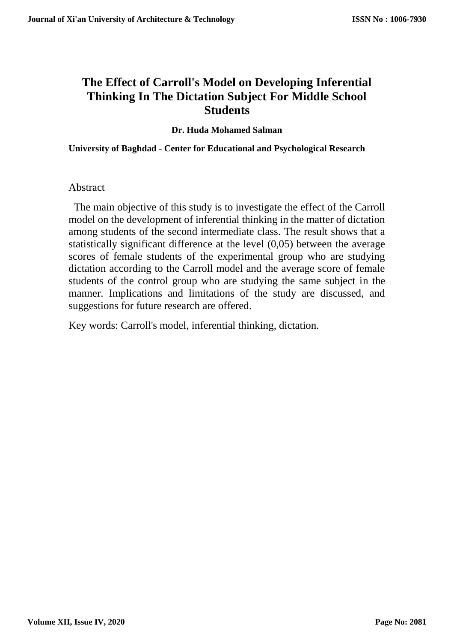# **The Effect of Carroll's Model on Developing Inferential Thinking In The Dictation Subject For Middle School Students**

**Dr. Huda Mohamed Salman**

**University of Baghdad - Center for Educational and Psychological Research**

## Abstract

 The main objective of this study is to investigate the effect of the Carroll model on the development of inferential thinking in the matter of dictation among students of the second intermediate class. The result shows that a statistically significant difference at the level (0,05) between the average scores of female students of the experimental group who are studying dictation according to the Carroll model and the average score of female students of the control group who are studying the same subject in the manner. Implications and limitations of the study are discussed, and suggestions for future research are offered.

Key words: Carroll's model, inferential thinking, dictation.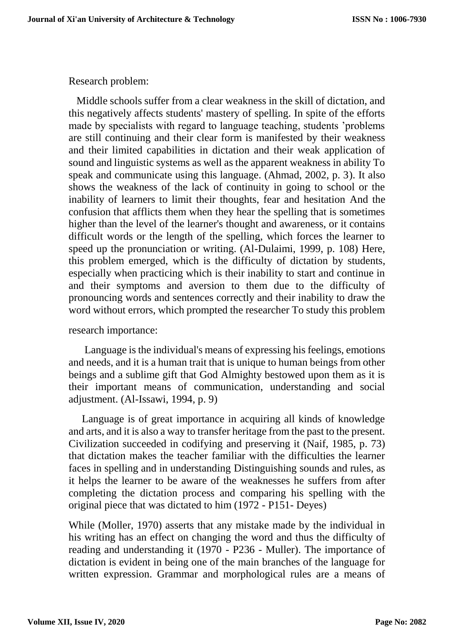Research problem:

Middle schools suffer from a clear weakness in the skill of dictation, and this negatively affects students' mastery of spelling. In spite of the efforts made by specialists with regard to language teaching, students 'problems are still continuing and their clear form is manifested by their weakness and their limited capabilities in dictation and their weak application of sound and linguistic systems as well as the apparent weakness in ability To speak and communicate using this language. (Ahmad, 2002, p. 3). It also shows the weakness of the lack of continuity in going to school or the inability of learners to limit their thoughts, fear and hesitation And the confusion that afflicts them when they hear the spelling that is sometimes higher than the level of the learner's thought and awareness, or it contains difficult words or the length of the spelling, which forces the learner to speed up the pronunciation or writing. (Al-Dulaimi, 1999, p. 108) Here, this problem emerged, which is the difficulty of dictation by students, especially when practicing which is their inability to start and continue in and their symptoms and aversion to them due to the difficulty of pronouncing words and sentences correctly and their inability to draw the word without errors, which prompted the researcher To study this problem

## research importance:

Language is the individual's means of expressing his feelings, emotions and needs, and it is a human trait that is unique to human beings from other beings and a sublime gift that God Almighty bestowed upon them as it is their important means of communication, understanding and social adjustment. (Al-Issawi, 1994, p. 9)

Language is of great importance in acquiring all kinds of knowledge and arts, and it is also a way to transfer heritage from the past to the present. Civilization succeeded in codifying and preserving it (Naif, 1985, p. 73) that dictation makes the teacher familiar with the difficulties the learner faces in spelling and in understanding Distinguishing sounds and rules, as it helps the learner to be aware of the weaknesses he suffers from after completing the dictation process and comparing his spelling with the original piece that was dictated to him (1972 - P151- Deyes)

While (Moller, 1970) asserts that any mistake made by the individual in his writing has an effect on changing the word and thus the difficulty of reading and understanding it (1970 - P236 - Muller). The importance of dictation is evident in being one of the main branches of the language for written expression. Grammar and morphological rules are a means of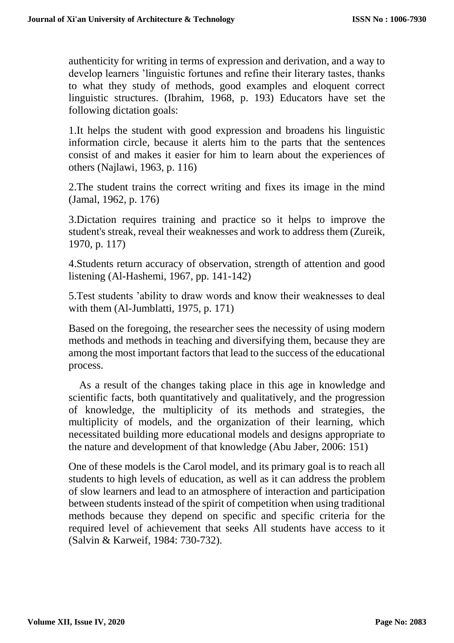authenticity for writing in terms of expression and derivation, and a way to develop learners 'linguistic fortunes and refine their literary tastes, thanks to what they study of methods, good examples and eloquent correct linguistic structures. (Ibrahim, 1968, p. 193) Educators have set the following dictation goals:

1.It helps the student with good expression and broadens his linguistic information circle, because it alerts him to the parts that the sentences consist of and makes it easier for him to learn about the experiences of others (Najlawi, 1963, p. 116)

2.The student trains the correct writing and fixes its image in the mind (Jamal, 1962, p. 176)

3.Dictation requires training and practice so it helps to improve the student's streak, reveal their weaknesses and work to address them (Zureik, 1970, p. 117)

4.Students return accuracy of observation, strength of attention and good listening (Al-Hashemi, 1967, pp. 141-142)

5.Test students 'ability to draw words and know their weaknesses to deal with them (Al-Jumblatti, 1975, p. 171)

Based on the foregoing, the researcher sees the necessity of using modern methods and methods in teaching and diversifying them, because they are among the most important factors that lead to the success of the educational process.

As a result of the changes taking place in this age in knowledge and scientific facts, both quantitatively and qualitatively, and the progression of knowledge, the multiplicity of its methods and strategies, the multiplicity of models, and the organization of their learning, which necessitated building more educational models and designs appropriate to the nature and development of that knowledge (Abu Jaber, 2006: 151)

One of these models is the Carol model, and its primary goal is to reach all students to high levels of education, as well as it can address the problem of slow learners and lead to an atmosphere of interaction and participation between students instead of the spirit of competition when using traditional methods because they depend on specific and specific criteria for the required level of achievement that seeks All students have access to it (Salvin & Karweif, 1984: 730-732).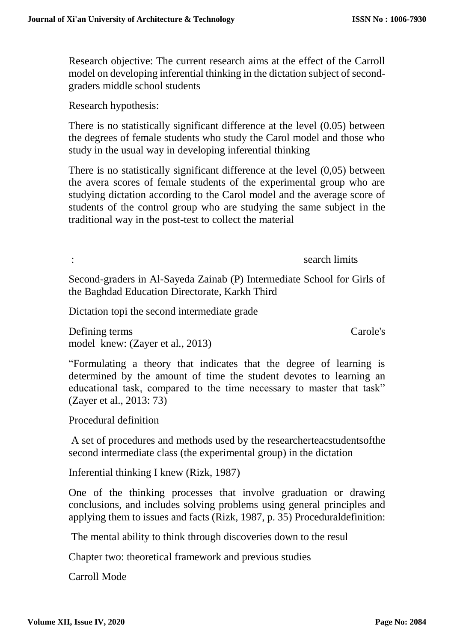Research objective: The current research aims at the effect of the Carroll model on developing inferential thinking in the dictation subject of secondgraders middle school students

Research hypothesis:

There is no statistically significant difference at the level (0.05) between the degrees of female students who study the Carol model and those who study in the usual way in developing inferential thinking

There is no statistically significant difference at the level (0,05) between the avera scores of female students of the experimental group who are studying dictation according to the Carol model and the average score of students of the control group who are studying the same subject in the traditional way in the post-test to collect the material

: search limits in the search limits in the search limits in the search limits in the search limits in the search limits in the search limits in the search limits in the search limits in the search limits in the search lim

Second-graders in Al-Sayeda Zainab (P) Intermediate School for Girls of the Baghdad Education Directorate, Karkh Third

Dictation topi the second intermediate grade

Defining terms Carole's model knew: (Zayer et al., 2013)

"Formulating a theory that indicates that the degree of learning is determined by the amount of time the student devotes to learning an educational task, compared to the time necessary to master that task" (Zayer et al., 2013: 73)

Procedural definition

A set of procedures and methods used by the researcherteacstudentsofthe second intermediate class (the experimental group) in the dictation

Inferential thinking I knew (Rizk, 1987)

One of the thinking processes that involve graduation or drawing conclusions, and includes solving problems using general principles and applying them to issues and facts (Rizk, 1987, p. 35) Proceduraldefinition:

The mental ability to think through discoveries down to the resul

Chapter two: theoretical framework and previous studies

Carroll Mode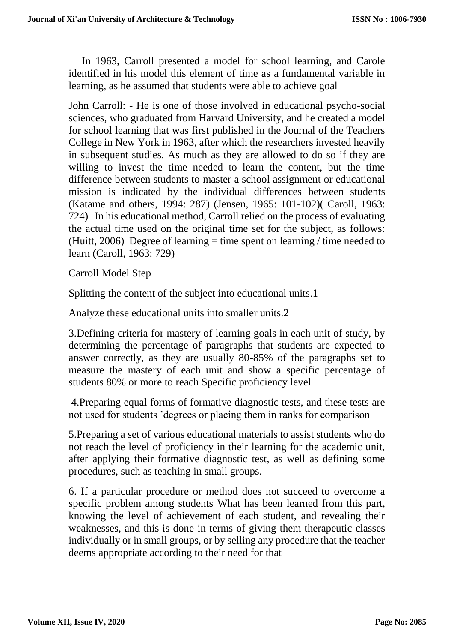In 1963, Carroll presented a model for school learning, and Carole identified in his model this element of time as a fundamental variable in learning, as he assumed that students were able to achieve goal

John Carroll: - He is one of those involved in educational psycho-social sciences, who graduated from Harvard University, and he created a model for school learning that was first published in the Journal of the Teachers College in New York in 1963, after which the researchers invested heavily in subsequent studies. As much as they are allowed to do so if they are willing to invest the time needed to learn the content, but the time difference between students to master a school assignment or educational mission is indicated by the individual differences between students (Katame and others, 1994: 287) (Jensen, 1965: 101-102)( Caroll, 1963: 724) In his educational method, Carroll relied on the process of evaluating the actual time used on the original time set for the subject, as follows: (Huitt, 2006) Degree of learning  $=$  time spent on learning / time needed to learn (Caroll, 1963: 729)

Carroll Model Step

Splitting the content of the subject into educational units.1

Analyze these educational units into smaller units.2

3.Defining criteria for mastery of learning goals in each unit of study, by determining the percentage of paragraphs that students are expected to answer correctly, as they are usually 80-85% of the paragraphs set to measure the mastery of each unit and show a specific percentage of students 80% or more to reach Specific proficiency level

4.Preparing equal forms of formative diagnostic tests, and these tests are not used for students 'degrees or placing them in ranks for comparison

5.Preparing a set of various educational materials to assist students who do not reach the level of proficiency in their learning for the academic unit, after applying their formative diagnostic test, as well as defining some procedures, such as teaching in small groups.

6. If a particular procedure or method does not succeed to overcome a specific problem among students What has been learned from this part, knowing the level of achievement of each student, and revealing their weaknesses, and this is done in terms of giving them therapeutic classes individually or in small groups, or by selling any procedure that the teacher deems appropriate according to their need for that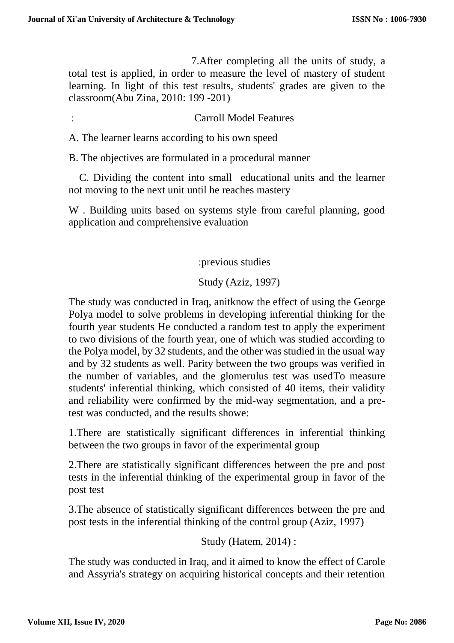7.After completing all the units of study, a total test is applied, in order to measure the level of mastery of student learning. In light of this test results, students' grades are given to the classroom(Abu Zina, 2010: 199 -201)

: Carroll Model Features

A. The learner learns according to his own speed

B. The objectives are formulated in a procedural manner

 C. Dividing the content into small educational units and the learner not moving to the next unit until he reaches mastery

W . Building units based on systems style from careful planning, good application and comprehensive evaluation

:previous studies

Study (Aziz, 1997)

The study was conducted in Iraq, anitknow the effect of using the George Polya model to solve problems in developing inferential thinking for the fourth year students He conducted a random test to apply the experiment to two divisions of the fourth year, one of which was studied according to the Polya model, by 32 students, and the other was studied in the usual way and by 32 students as well. Parity between the two groups was verified in the number of variables, and the glomerulus test was usedTo measure students' inferential thinking, which consisted of 40 items, their validity and reliability were confirmed by the mid-way segmentation, and a pretest was conducted, and the results showe:

1.There are statistically significant differences in inferential thinking between the two groups in favor of the experimental group

2.There are statistically significant differences between the pre and post tests in the inferential thinking of the experimental group in favor of the post test

3.The absence of statistically significant differences between the pre and post tests in the inferential thinking of the control group (Aziz, 1997)

Study (Hatem, 2014) :

The study was conducted in Iraq, and it aimed to know the effect of Carole and Assyria's strategy on acquiring historical concepts and their retention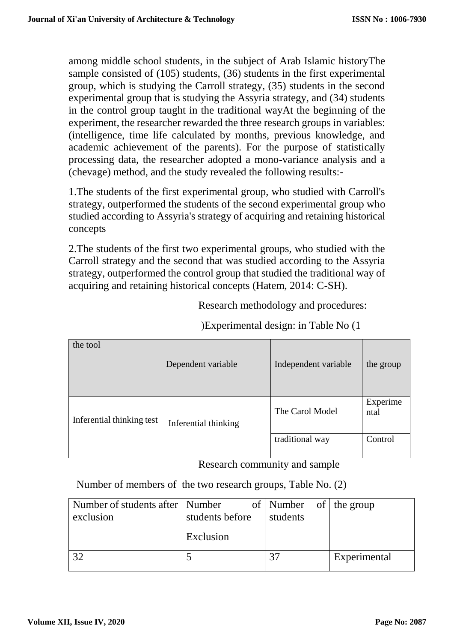among middle school students, in the subject of Arab Islamic historyThe sample consisted of (105) students, (36) students in the first experimental group, which is studying the Carroll strategy, (35) students in the second experimental group that is studying the Assyria strategy, and (34) students in the control group taught in the traditional wayAt the beginning of the experiment, the researcher rewarded the three research groups in variables: (intelligence, time life calculated by months, previous knowledge, and academic achievement of the parents). For the purpose of statistically processing data, the researcher adopted a mono-variance analysis and a (chevage) method, and the study revealed the following results:-

1.The students of the first experimental group, who studied with Carroll's strategy, outperformed the students of the second experimental group who studied according to Assyria's strategy of acquiring and retaining historical concepts

2.The students of the first two experimental groups, who studied with the Carroll strategy and the second that was studied according to the Assyria strategy, outperformed the control group that studied the traditional way of acquiring and retaining historical concepts (Hatem, 2014: C-SH).

Research methodology and procedures:

(Experimental design: in Table No (1

| the tool                  | Dependent variable   | Independent variable | the group        |
|---------------------------|----------------------|----------------------|------------------|
| Inferential thinking test | Inferential thinking | The Carol Model      | Experime<br>ntal |
|                           |                      | traditional way      | Control          |

Research community and sample

Number of members of the two research groups, Table No. (2)

| Number of students after   Number |                 | of   Number of   the group |              |
|-----------------------------------|-----------------|----------------------------|--------------|
| exclusion                         | students before | students                   |              |
|                                   | Exclusion       |                            |              |
|                                   |                 | 37                         | Experimental |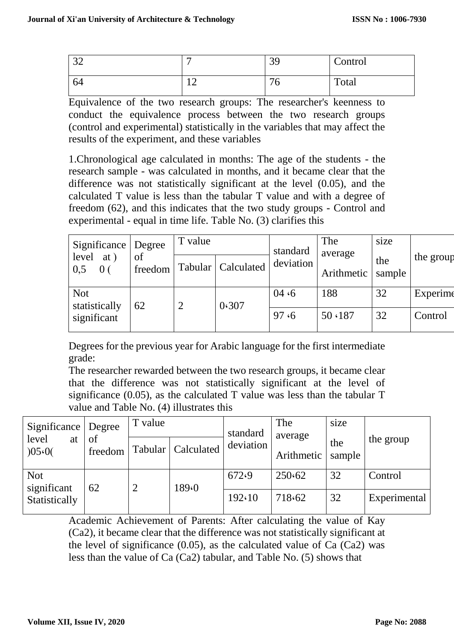| $\Omega$<br>ے ب |                         | 39                 | Control |
|-----------------|-------------------------|--------------------|---------|
| 64              | $\sim$<br>┸ <del></del> | $\mathcal{L}$<br>◡ | Total   |

Equivalence of the two research groups: The researcher's keenness to conduct the equivalence process between the two research groups (control and experimental) statistically in the variables that may affect the results of the experiment, and these variables

1.Chronological age calculated in months: The age of the students - the research sample - was calculated in months, and it became clear that the difference was not statistically significant at the level (0.05), and the calculated T value is less than the tabular T value and with a degree of freedom (62), and this indicates that the two study groups - Control and experimental - equal in time life. Table No. (3) clarifies this

| Significance | $\log$ ree                            | T value       |       | standard             | The<br>average | size       |               |           |
|--------------|---------------------------------------|---------------|-------|----------------------|----------------|------------|---------------|-----------|
|              | at)<br>level<br>0 <sub>0</sub><br>0,5 | of<br>freedom |       | Tabular   Calculated | deviation      | Arithmetic | the<br>sample | the group |
|              | <b>Not</b><br>statistically           | 62            | 0.307 | 04 $\cdot$ 6         | 188            | 32         | Experime      |           |
|              | significant                           |               |       |                      | 97.6           | 50 \ 187   | 32            | Control   |

Degrees for the previous year for Arabic language for the first intermediate grade:

The researcher rewarded between the two research groups, it became clear that the difference was not statistically significant at the level of significance (0.05), as the calculated T value was less than the tabular T value and Table No. (4) illustrates this

| Significance   Degree     |               | T value |            | standard  | The<br>average | size          |              |
|---------------------------|---------------|---------|------------|-----------|----------------|---------------|--------------|
| level<br>at<br>)05.0(     | of<br>freedom | Tabular | Calculated | deviation | Arithmetic     | the<br>sample | the group    |
| <b>Not</b><br>significant | 62            | 2       | 189.0      | 672.9     | 250.62         | 32            | Control      |
| Statistically             |               |         |            | 192.10    | 718.62         | 32            | Experimental |

Academic Achievement of Parents: After calculating the value of Kay (Ca2), it became clear that the difference was not statistically significant at the level of significance  $(0.05)$ , as the calculated value of Ca  $(Ca2)$  was less than the value of Ca (Ca2) tabular, and Table No. (5) shows that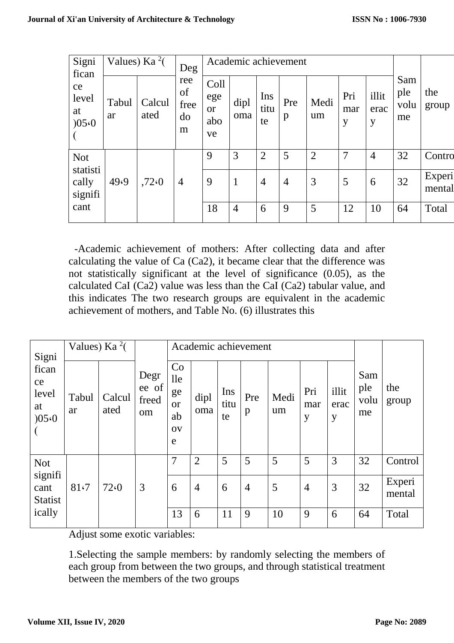| Signi<br>fican               | Values) Ka $^{2}$ ( |                | Deg                          |                                       | Academic achievement |                   |                |                |                 |                    |                          |                  |
|------------------------------|---------------------|----------------|------------------------------|---------------------------------------|----------------------|-------------------|----------------|----------------|-----------------|--------------------|--------------------------|------------------|
| ce<br>level<br>at<br>)05.0   | Tabul<br>ar         | Calcul<br>ated | ree<br>of<br>free<br>do<br>m | Coll<br>ege<br><b>or</b><br>abo<br>ve | dipl<br>oma          | Ins<br>titu<br>te | Pre<br>p       | Medi<br>um     | Pri<br>mar<br>y | illit<br>erac<br>y | Sam<br>ple<br>volu<br>me | the<br>group     |
| <b>Not</b>                   |                     |                |                              | 9                                     | 3                    | $\overline{2}$    | 5              | $\overline{2}$ | $\overline{7}$  | $\overline{4}$     | 32                       | Contro           |
| statisti<br>cally<br>signifi | 49.9                | ,72.0          | $\overline{4}$               | 9                                     | 1                    | $\overline{4}$    | $\overline{4}$ | 3              | 5               | 6                  | 32                       | Experi<br>mental |
| cant                         |                     |                |                              | 18                                    | $\overline{4}$       | 6                 | 9              | 5              | 12              | 10                 | 64                       | Total            |

-Academic achievement of mothers: After collecting data and after calculating the value of Ca (Ca2), it became clear that the difference was not statistically significant at the level of significance (0.05), as the calculated CaI (Ca2) value was less than the CaI (Ca2) tabular value, and this indicates The two research groups are equivalent in the academic achievement of mothers, and Table No. (6) illustrates this

| Signi                               | Values) Ka $^{2}$ ( |                |                              |                                               |                |                   | Academic achievement |            |                 |                    |                          |                  |
|-------------------------------------|---------------------|----------------|------------------------------|-----------------------------------------------|----------------|-------------------|----------------------|------------|-----------------|--------------------|--------------------------|------------------|
| fican<br>ce<br>level<br>at<br>)05.0 | Tabul<br>ar         | Calcul<br>ated | Degr<br>ee of<br>freed<br>om | Co<br>lle<br>ge<br><b>or</b><br>ab<br>OV<br>e | dipl<br>oma    | Ins<br>titu<br>te | Pre<br>$\mathbf{p}$  | Medi<br>um | Pri<br>mar<br>y | illit<br>erac<br>y | Sam<br>ple<br>volu<br>me | the<br>group     |
| <b>Not</b>                          |                     |                |                              | 7                                             | $\overline{2}$ | 5                 | 5                    | 5          | 5               | 3                  | 32                       | Control          |
| signifi<br>cant<br><b>Statist</b>   | 81.7                | 72(0)          | 3                            | 6                                             | $\overline{4}$ | 6                 | $\overline{4}$       | 5          | $\overline{4}$  | 3                  | 32                       | Experi<br>mental |
| ically                              |                     |                |                              | 13                                            | 6              | 11                | 9                    | 10         | 9               | 6                  | 64                       | Total            |

Adjust some exotic variables:

1.Selecting the sample members: by randomly selecting the members of each group from between the two groups, and through statistical treatment between the members of the two groups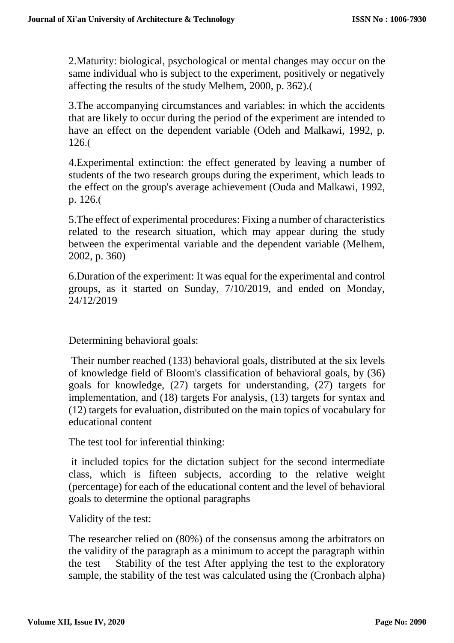2.Maturity: biological, psychological or mental changes may occur on the same individual who is subject to the experiment, positively or negatively affecting the results of the study Melhem, 2000, p. 362).

3.The accompanying circumstances and variables: in which the accidents that are likely to occur during the period of the experiment are intended to have an effect on the dependent variable (Odeh and Malkawi, 1992, p.  $126.$ (

4.Experimental extinction: the effect generated by leaving a number of students of the two research groups during the experiment, which leads to the effect on the group's average achievement (Ouda and Malkawi, 1992, p. 126.(

5.The effect of experimental procedures: Fixing a number of characteristics related to the research situation, which may appear during the study between the experimental variable and the dependent variable (Melhem, 2002, p. 360)

6.Duration of the experiment: It was equal for the experimental and control groups, as it started on Sunday, 7/10/2019, and ended on Monday, 24/12/2019

Determining behavioral goals:

Their number reached (133) behavioral goals, distributed at the six levels of knowledge field of Bloom's classification of behavioral goals, by (36) goals for knowledge, (27) targets for understanding, (27) targets for implementation, and (18) targets For analysis, (13) targets for syntax and (12) targets for evaluation, distributed on the main topics of vocabulary for educational content

The test tool for inferential thinking:

it included topics for the dictation subject for the second intermediate class, which is fifteen subjects, according to the relative weight (percentage) for each of the educational content and the level of behavioral goals to determine the optional paragraphs

Validity of the test:

The researcher relied on (80%) of the consensus among the arbitrators on the validity of the paragraph as a minimum to accept the paragraph within the test Stability of the test After applying the test to the exploratory sample, the stability of the test was calculated using the (Cronbach alpha)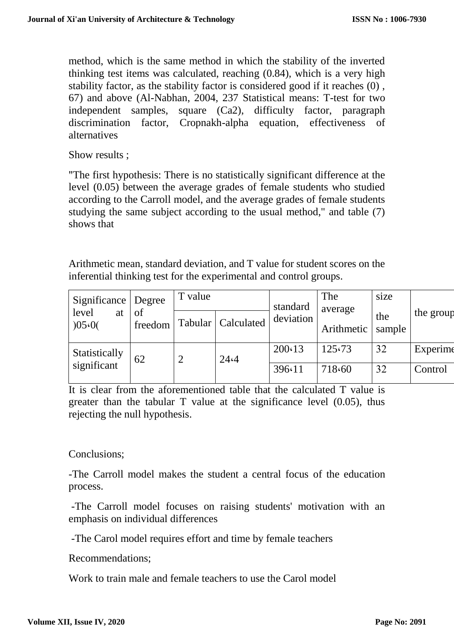method, which is the same method in which the stability of the inverted thinking test items was calculated, reaching (0.84), which is a very high stability factor, as the stability factor is considered good if it reaches (0) , 67) and above (Al-Nabhan, 2004, 237 Statistical means: T-test for two independent samples, square (Ca2), difficulty factor, paragraph discrimination factor, Cropnakh-alpha equation, effectiveness of alternatives

Show results ;

"The first hypothesis: There is no statistically significant difference at the level (0.05) between the average grades of female students who studied according to the Carroll model, and the average grades of female students studying the same subject according to the usual method," and table (7) shows that

Arithmetic mean, standard deviation, and T value for student scores on the inferential thinking test for the experimental and control groups.

| Significance   Degree        |                       | T value       |         | standard       | The<br>average | size       |               |           |
|------------------------------|-----------------------|---------------|---------|----------------|----------------|------------|---------------|-----------|
|                              | level<br>at<br>)05.0( | of<br>freedom | Tabular | Calculated     | deviation      | Arithmetic | the<br>sample | the group |
| Statistically<br>significant | 62                    |               | 24.4    | $200 \cdot 13$ | 125.73         | 32         | Experime      |           |
|                              |                       |               |         | 396.11         | 718.60         | 32         | Control       |           |

It is clear from the aforementioned table that the calculated T value is greater than the tabular T value at the significance level (0.05), thus rejecting the null hypothesis.

# Conclusions;

-The Carroll model makes the student a central focus of the education process.

-The Carroll model focuses on raising students' motivation with an emphasis on individual differences

-The Carol model requires effort and time by female teachers

Recommendations;

Work to train male and female teachers to use the Carol model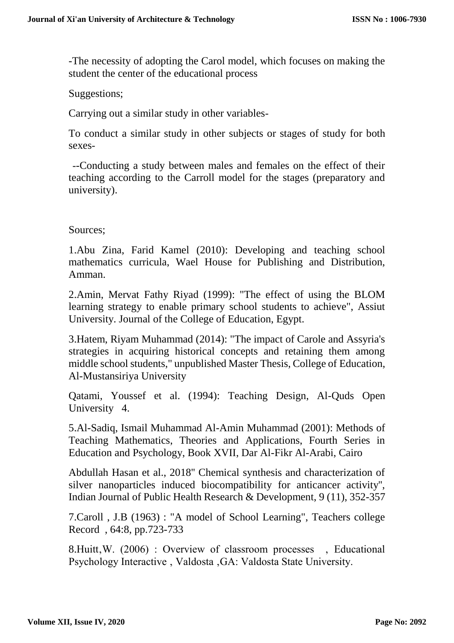-The necessity of adopting the Carol model, which focuses on making the student the center of the educational process

### Suggestions;

Carrying out a similar study in other variables-

To conduct a similar study in other subjects or stages of study for both sexes-

--Conducting a study between males and females on the effect of their teaching according to the Carroll model for the stages (preparatory and university).

### Sources;

1.Abu Zina, Farid Kamel (2010): Developing and teaching school mathematics curricula, Wael House for Publishing and Distribution, Amman.

2.Amin, Mervat Fathy Riyad (1999): "The effect of using the BLOM learning strategy to enable primary school students to achieve", Assiut University. Journal of the College of Education, Egypt.

3.Hatem, Riyam Muhammad (2014): "The impact of Carole and Assyria's strategies in acquiring historical concepts and retaining them among middle school students," unpublished Master Thesis, College of Education, Al-Mustansiriya University

Qatami, Youssef et al. (1994): Teaching Design, Al-Quds Open University 4.

5.Al-Sadiq, Ismail Muhammad Al-Amin Muhammad (2001): Methods of Teaching Mathematics, Theories and Applications, Fourth Series in Education and Psychology, Book XVII, Dar Al-Fikr Al-Arabi, Cairo

Abdullah Hasan et al., 2018'' Chemical synthesis and characterization of silver nanoparticles induced biocompatibility for anticancer activity'', Indian Journal of Public Health Research & Development, 9 (11), 352-357

7.Caroll , J.B (1963) : "A model of School Learning", Teachers college Record , 64:8, pp.723-733

8.Huitt, W. (2006) : Overview of classroom processes . Educational Psychology Interactive, Valdosta, GA: Valdosta State University.